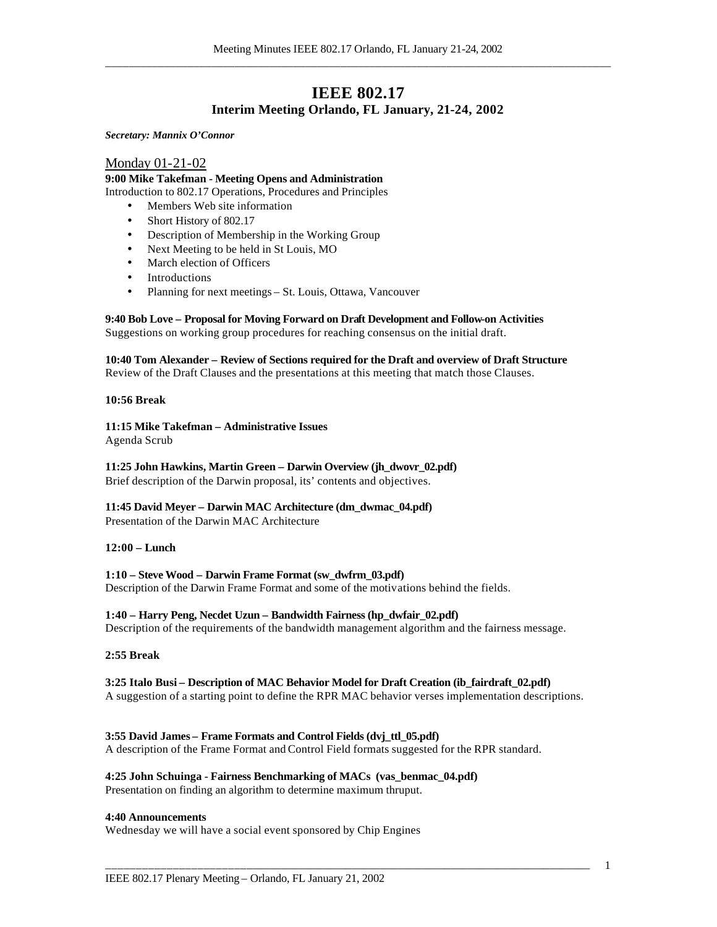## **IEEE 802.17 Interim Meeting Orlando, FL January, 21-24, 2002**

*Secretary: Mannix O'Connor*

### Monday 01-21-02

**9:00 Mike Takefman - Meeting Opens and Administration** Introduction to 802.17 Operations, Procedures and Principles

- Members Web site information
- Short History of 802.17
- Description of Membership in the Working Group
- Next Meeting to be held in St Louis, MO
- March election of Officers
- **Introductions**
- Planning for next meetings St. Louis, Ottawa, Vancouver

### **9:40 Bob Love – Proposal for Moving Forward on Draft Development and Follow-on Activities**

Suggestions on working group procedures for reaching consensus on the initial draft.

### **10:40 Tom Alexander – Review of Sections required for the Draft and overview of Draft Structure**

Review of the Draft Clauses and the presentations at this meeting that match those Clauses.

### **10:56 Break**

### **11:15 Mike Takefman – Administrative Issues**

Agenda Scrub

### **11:25 John Hawkins, Martin Green – Darwin Overview (jh\_dwovr\_02.pdf)**

Brief description of the Darwin proposal, its' contents and objectives.

### **11:45 David Meyer – Darwin MAC Architecture (dm\_dwmac\_04.pdf)**

Presentation of the Darwin MAC Architecture

### **12:00 – Lunch**

### **1:10 – Steve Wood – Darwin Frame Format (sw\_dwfrm\_03.pdf)**

Description of the Darwin Frame Format and some of the motivations behind the fields.

### **1:40 – Harry Peng, Necdet Uzun – Bandwidth Fairness (hp\_dwfair\_02.pdf)**

Description of the requirements of the bandwidth management algorithm and the fairness message.

### **2:55 Break**

### **3:25 Italo Busi – Description of MAC Behavior Model for Draft Creation (ib\_fairdraft\_02.pdf)** A suggestion of a starting point to define the RPR MAC behavior verses implementation descriptions.

\_\_\_\_\_\_\_\_\_\_\_\_\_\_\_\_\_\_\_\_\_\_\_\_\_\_\_\_\_\_\_\_\_\_\_\_\_\_\_\_\_\_\_\_\_\_\_\_\_\_\_\_\_\_\_\_\_\_\_\_\_\_\_\_\_\_\_\_\_\_\_\_\_\_\_\_\_\_\_\_\_\_

### **3:55 David James – Frame Formats and Control Fields (dvj\_ttl\_05.pdf)**

A description of the Frame Format and Control Field formats suggested for the RPR standard.

### **4:25 John Schuinga - Fairness Benchmarking of MACs (vas\_benmac\_04.pdf)**

Presentation on finding an algorithm to determine maximum thruput.

### **4:40 Announcements**

Wednesday we will have a social event sponsored by Chip Engines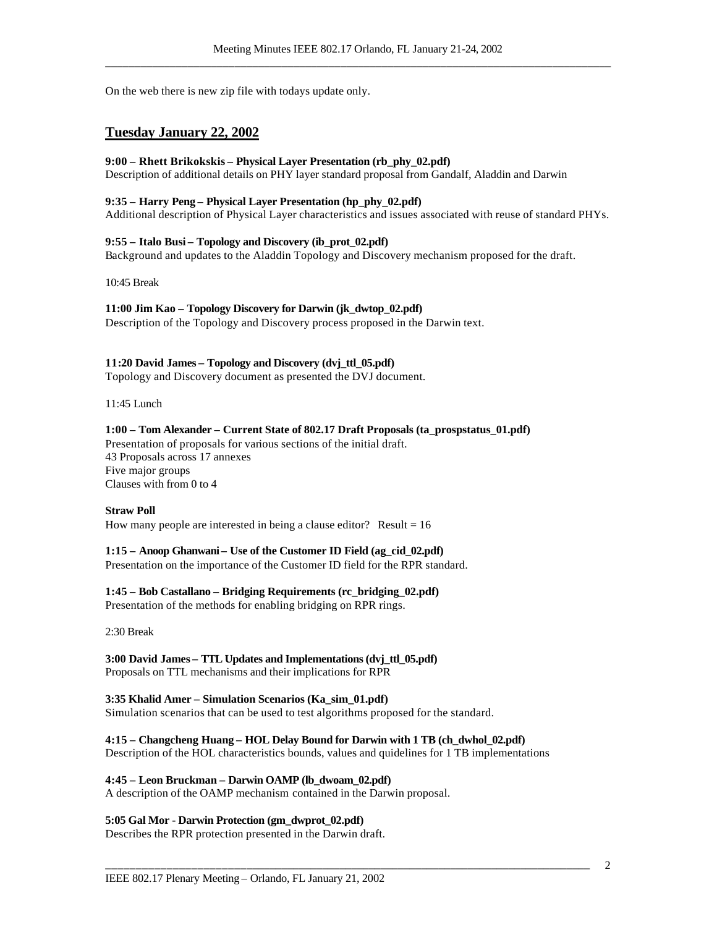On the web there is new zip file with todays update only.

### **Tuesday January 22, 2002**

### **9:00 – Rhett Brikokskis – Physical Layer Presentation (rb\_phy\_02.pdf)**

Description of additional details on PHY layer standard proposal from Gandalf, Aladdin and Darwin

### **9:35 – Harry Peng – Physical Layer Presentation (hp\_phy\_02.pdf)**

Additional description of Physical Layer characteristics and issues associated with reuse of standard PHYs.

#### **9:55 – Italo Busi – Topology and Discovery (ib\_prot\_02.pdf)**

Background and updates to the Aladdin Topology and Discovery mechanism proposed for the draft.

10:45 Break

### **11:00 Jim Kao – Topology Discovery for Darwin (jk\_dwtop\_02.pdf)**

Description of the Topology and Discovery process proposed in the Darwin text.

### **11:20 David James – Topology and Discovery (dvj\_ttl\_05.pdf)**

Topology and Discovery document as presented the DVJ document.

11:45 Lunch

### **1:00 – Tom Alexander – Current State of 802.17 Draft Proposals (ta\_prospstatus\_01.pdf)**

Presentation of proposals for various sections of the initial draft. 43 Proposals across 17 annexes Five major groups Clauses with from 0 to 4

#### **Straw Poll**

How many people are interested in being a clause editor? Result  $= 16$ 

#### **1:15 – Anoop Ghanwani – Use of the Customer ID Field (ag\_cid\_02.pdf)**

Presentation on the importance of the Customer ID field for the RPR standard.

### **1:45 – Bob Castallano – Bridging Requirements (rc\_bridging\_02.pdf)**

Presentation of the methods for enabling bridging on RPR rings.

2:30 Break

### **3:00 David James – TTL Updates and Implementations (dvj\_ttl\_05.pdf)** Proposals on TTL mechanisms and their implications for RPR

# **3:35 Khalid Amer – Simulation Scenarios (Ka\_sim\_01.pdf)**

Simulation scenarios that can be used to test algorithms proposed for the standard.

### **4:15 – Changcheng Huang – HOL Delay Bound for Darwin with 1 TB (ch\_dwhol\_02.pdf)**

Description of the HOL characteristics bounds, values and quidelines for 1 TB implementations

\_\_\_\_\_\_\_\_\_\_\_\_\_\_\_\_\_\_\_\_\_\_\_\_\_\_\_\_\_\_\_\_\_\_\_\_\_\_\_\_\_\_\_\_\_\_\_\_\_\_\_\_\_\_\_\_\_\_\_\_\_\_\_\_\_\_\_\_\_\_\_\_\_\_\_\_\_\_\_\_\_\_

### **4:45 – Leon Bruckman – Darwin OAMP (lb\_dwoam\_02.pdf)**

A description of the OAMP mechanism contained in the Darwin proposal.

#### **5:05 Gal Mor - Darwin Protection (gm\_dwprot\_02.pdf)**

Describes the RPR protection presented in the Darwin draft.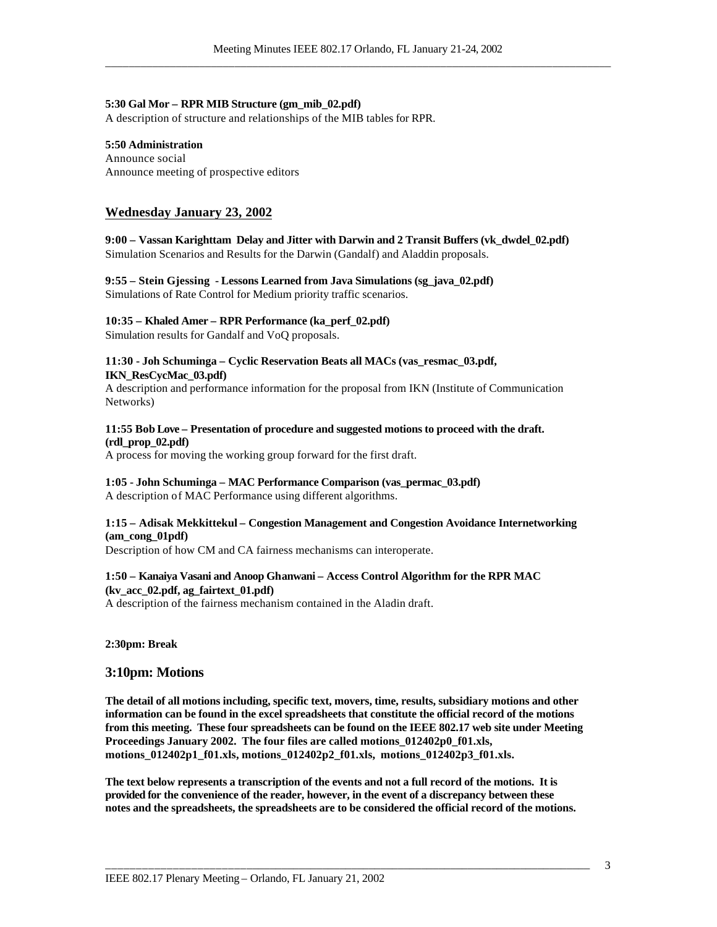### **5:30 Gal Mor – RPR MIB Structure (gm\_mib\_02.pdf)**

A description of structure and relationships of the MIB tables for RPR.

### **5:50 Administration**

Announce social Announce meeting of prospective editors

### **Wednesday January 23, 2002**

**9:00 – Vassan Karighttam Delay and Jitter with Darwin and 2 Transit Buffers (vk\_dwdel\_02.pdf)** Simulation Scenarios and Results for the Darwin (Gandalf) and Aladdin proposals.

### **9:55 – Stein Gjessing - Lessons Learned from Java Simulations (sg\_java\_02.pdf)** Simulations of Rate Control for Medium priority traffic scenarios.

#### **10:35 – Khaled Amer – RPR Performance (ka\_perf\_02.pdf)**

Simulation results for Gandalf and VoQ proposals.

### **11:30 - Joh Schuminga – Cyclic Reservation Beats all MACs (vas\_resmac\_03.pdf, IKN\_ResCycMac\_03.pdf)**

A description and performance information for the proposal from IKN (Institute of Communication Networks)

### **11:55 Bob Love – Presentation of procedure and suggested motions to proceed with the draft. (rdl\_prop\_02.pdf)**

A process for moving the working group forward for the first draft.

### **1:05 - John Schuminga – MAC Performance Comparison (vas\_permac\_03.pdf)** A description of MAC Performance using different algorithms.

### **1:15 – Adisak Mekkittekul – Congestion Management and Congestion Avoidance Internetworking (am\_cong\_01pdf)**

Description of how CM and CA fairness mechanisms can interoperate.

### **1:50 – Kanaiya Vasani and Anoop Ghanwani – Access Control Algorithm for the RPR MAC (kv\_acc\_02.pdf, ag\_fairtext\_01.pdf)**

A description of the fairness mechanism contained in the Aladin draft.

### **2:30pm: Break**

### **3:10pm: Motions**

**The detail of all motions including, specific text, movers, time, results, subsidiary motions and other information can be found in the excel spreadsheets that constitute the official record of the motions from this meeting. These four spreadsheets can be found on the IEEE 802.17 web site under Meeting Proceedings January 2002. The four files are called motions\_012402p0\_f01.xls, motions\_012402p1\_f01.xls, motions\_012402p2\_f01.xls, motions\_012402p3\_f01.xls.**

**The text below represents a transcription of the events and not a full record of the motions. It is provided for the convenience of the reader, however, in the event of a discrepancy between these notes and the spreadsheets, the spreadsheets are to be considered the official record of the motions.**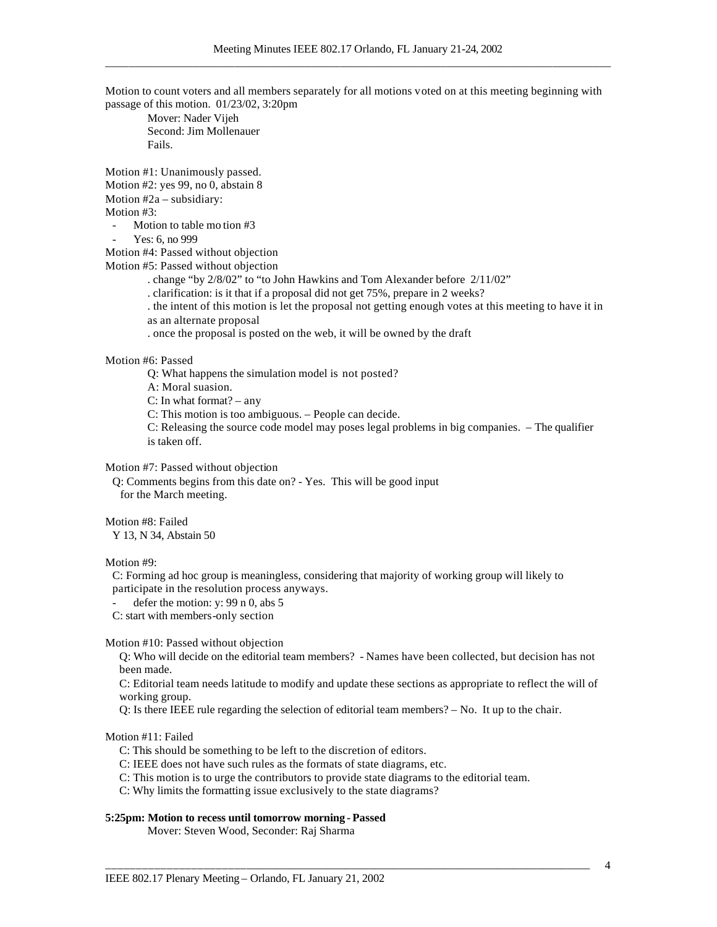Motion to count voters and all members separately for all motions voted on at this meeting beginning with passage of this motion. 01/23/02, 3:20pm

Mover: Nader Vijeh Second: Jim Mollenauer Fails.

Motion #1: Unanimously passed. Motion #2: yes 99, no 0, abstain 8

Motion #2a – subsidiary:

Motion #3:

Motion to table mo tion #3

Yes: 6, no 999

Motion #4: Passed without objection

Motion #5: Passed without objection

. change "by 2/8/02" to "to John Hawkins and Tom Alexander before 2/11/02"

. clarification: is it that if a proposal did not get 75%, prepare in 2 weeks?

. the intent of this motion is let the proposal not getting enough votes at this meeting to have it in as an alternate proposal

. once the proposal is posted on the web, it will be owned by the draft

Motion #6: Passed

Q: What happens the simulation model is not posted?

A: Moral suasion.

C: In what format? – any

C: This motion is too ambiguous. – People can decide.

C: Releasing the source code model may poses legal problems in big companies. – The qualifier is taken off.

Motion #7: Passed without objection

Q: Comments begins from this date on? - Yes. This will be good input for the March meeting.

Motion #8: Failed

Y 13, N 34, Abstain 50

Motion #9:

C: Forming ad hoc group is meaningless, considering that majority of working group will likely to participate in the resolution process anyways.

defer the motion: y:  $99$  n 0, abs 5

C: start with members-only section

Motion #10: Passed without objection

Q: Who will decide on the editorial team members? - Names have been collected, but decision has not been made.

C: Editorial team needs latitude to modify and update these sections as appropriate to reflect the will of working group.

Q: Is there IEEE rule regarding the selection of editorial team members? – No. It up to the chair.

\_\_\_\_\_\_\_\_\_\_\_\_\_\_\_\_\_\_\_\_\_\_\_\_\_\_\_\_\_\_\_\_\_\_\_\_\_\_\_\_\_\_\_\_\_\_\_\_\_\_\_\_\_\_\_\_\_\_\_\_\_\_\_\_\_\_\_\_\_\_\_\_\_\_\_\_\_\_\_\_\_\_

Motion #11: Failed

C: This should be something to be left to the discretion of editors.

C: IEEE does not have such rules as the formats of state diagrams, etc.

C: This motion is to urge the contributors to provide state diagrams to the editorial team.

C: Why limits the formatting issue exclusively to the state diagrams?

### **5:25pm: Motion to recess until tomorrow morning - Passed**

Mover: Steven Wood, Seconder: Raj Sharma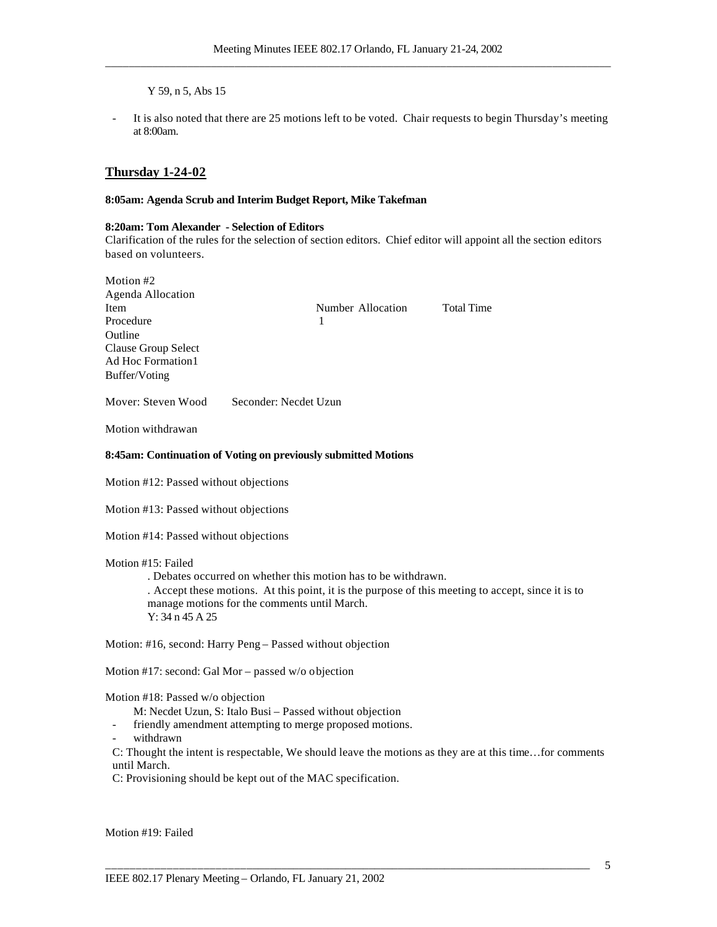Y 59, n 5, Abs 15

It is also noted that there are 25 motions left to be voted. Chair requests to begin Thursday's meeting at 8:00am.

### **Thursday 1-24-02**

 $M(t) = 20$ 

### **8:05am: Agenda Scrub and Interim Budget Report, Mike Takefman**

### **8:20am: Tom Alexander - Selection of Editors**

Clarification of the rules for the selection of section editors. Chief editor will appoint all the section editors based on volunteers.

| Notion $#Z$         |                       |                   |
|---------------------|-----------------------|-------------------|
| Agenda Allocation   |                       |                   |
| Item                | Number Allocation     | <b>Total Time</b> |
| Procedure           |                       |                   |
| Outline             |                       |                   |
| Clause Group Select |                       |                   |
| Ad Hoc Formation1   |                       |                   |
| Buffer/Voting       |                       |                   |
| Mover: Steven Wood  | Seconder: Necdet Uzun |                   |

Motion withdrawan

#### **8:45am: Continuation of Voting on previously submitted Motions**

Motion #12: Passed without objections

Motion #13: Passed without objections

Motion #14: Passed without objections

### Motion #15: Failed

. Debates occurred on whether this motion has to be withdrawn. . Accept these motions. At this point, it is the purpose of this meeting to accept, since it is to manage motions for the comments until March. Y: 34 n 45 A 25

Motion: #16, second: Harry Peng – Passed without objection

Motion #17: second: Gal Mor – passed w/o objection

Motion #18: Passed w/o objection

- M: Necdet Uzun, S: Italo Busi Passed without objection
- friendly amendment attempting to merge proposed motions.
- withdrawn

C: Thought the intent is respectable, We should leave the motions as they are at this time…for comments until March.

\_\_\_\_\_\_\_\_\_\_\_\_\_\_\_\_\_\_\_\_\_\_\_\_\_\_\_\_\_\_\_\_\_\_\_\_\_\_\_\_\_\_\_\_\_\_\_\_\_\_\_\_\_\_\_\_\_\_\_\_\_\_\_\_\_\_\_\_\_\_\_\_\_\_\_\_\_\_\_\_\_\_

C: Provisioning should be kept out of the MAC specification.

Motion #19: Failed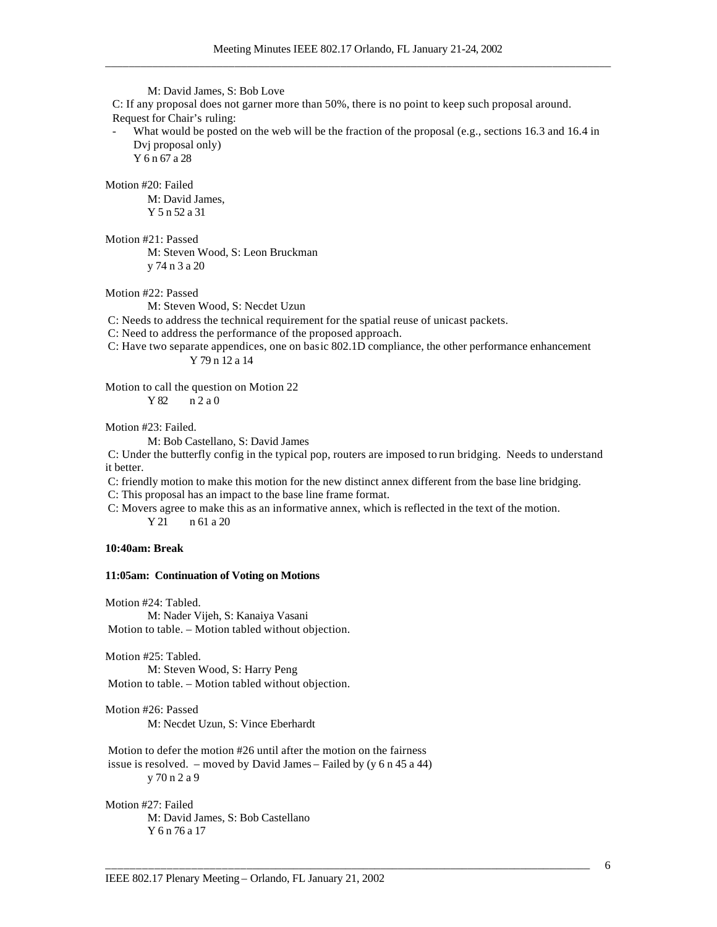M: David James, S: Bob Love C: If any proposal does not garner more than 50%, there is no point to keep such proposal around. Request for Chair's ruling: What would be posted on the web will be the fraction of the proposal (e.g., sections 16.3 and 16.4 in Dvj proposal only) Y 6 n 67 a 28 Motion #20: Failed M: David James, Y 5 n 52 a 31 Motion #21: Passed M: Steven Wood, S: Leon Bruckman y 74 n 3 a 20 Motion #22: Passed M: Steven Wood, S: Necdet Uzun C: Needs to address the technical requirement for the spatial reuse of unicast packets. C: Need to address the performance of the proposed approach. C: Have two separate appendices, one on basic 802.1D compliance, the other performance enhancement Y 79 n 12 a 14 Motion to call the question on Motion 22 Y 82 n 2 a 0 Motion #23: Failed. M: Bob Castellano, S: David James C: Under the butterfly config in the typical pop, routers are imposed to run bridging. Needs to understand it better. C: friendly motion to make this motion for the new distinct annex different from the base line bridging. C: This proposal has an impact to the base line frame format. C: Movers agree to make this as an informative annex, which is reflected in the text of the motion. Y 21 n 61 a 20 **10:40am: Break 11:05am: Continuation of Voting on Motions** Motion #24: Tabled. M: Nader Vijeh, S: Kanaiya Vasani Motion to table. – Motion tabled without objection. Motion #25: Tabled. M: Steven Wood, S: Harry Peng Motion to table. – Motion tabled without objection. Motion #26: Passed M: Necdet Uzun, S: Vince Eberhardt Motion to defer the motion #26 until after the motion on the fairness issue is resolved. – moved by David James – Failed by (y 6 n 45 a 44) y 70 n 2 a 9

\_\_\_\_\_\_\_\_\_\_\_\_\_\_\_\_\_\_\_\_\_\_\_\_\_\_\_\_\_\_\_\_\_\_\_\_\_\_\_\_\_\_\_\_\_\_\_\_\_\_\_\_\_\_\_\_\_\_\_\_\_\_\_\_\_\_\_\_\_\_\_\_\_\_\_\_\_\_\_\_\_\_

Motion #27: Failed M: David James, S: Bob Castellano Y 6 n 76 a 17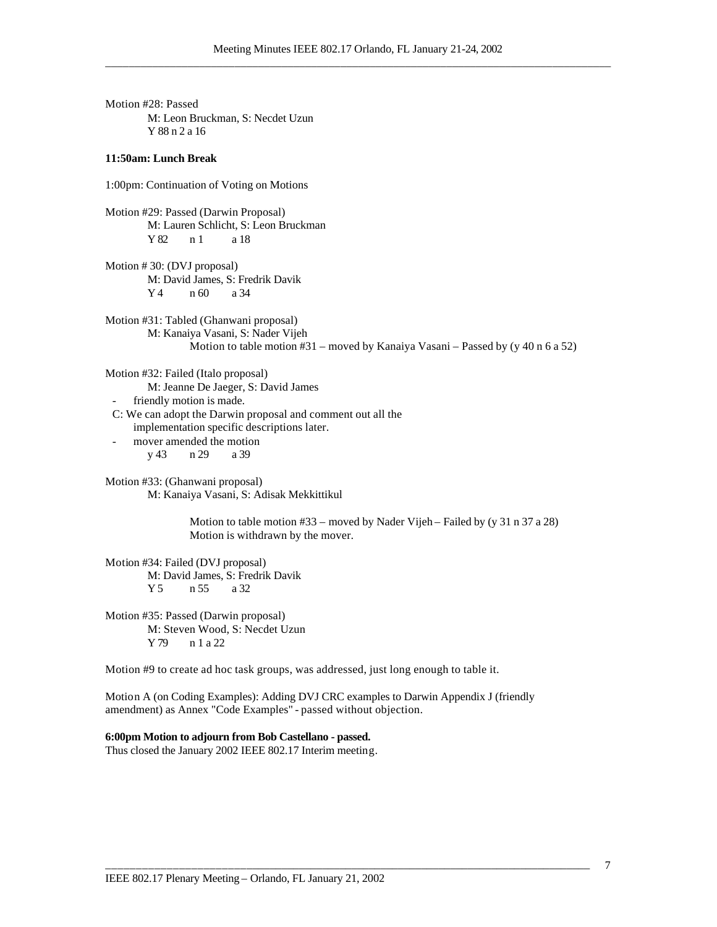Motion #28: Passed M: Leon Bruckman, S: Necdet Uzun Y 88 n 2 a 16

### **11:50am: Lunch Break**

1:00pm: Continuation of Voting on Motions

Motion #29: Passed (Darwin Proposal) M: Lauren Schlicht, S: Leon Bruckman Y 82 n 1 a 18

Motion # 30: (DVJ proposal) M: David James, S: Fredrik Davik Y 4 n 60 a 34

Motion #31: Tabled (Ghanwani proposal) M: Kanaiya Vasani, S: Nader Vijeh Motion to table motion #31 – moved by Kanaiya Vasani – Passed by (y 40 n 6 a 52)

Motion #32: Failed (Italo proposal) M: Jeanne De Jaeger, S: David James

friendly motion is made.

C: We can adopt the Darwin proposal and comment out all the implementation specific descriptions later.

mover amended the motion y 43 n 29 a 39

Motion #33: (Ghanwani proposal) M: Kanaiya Vasani, S: Adisak Mekkittikul

> Motion to table motion #33 – moved by Nader Vijeh – Failed by (y 31 n 37 a 28) Motion is withdrawn by the mover.

Motion #34: Failed (DVJ proposal) M: David James, S: Fredrik Davik Y 5 n 55 a 32

Motion #35: Passed (Darwin proposal) M: Steven Wood, S: Necdet Uzun Y 79 n 1 a 22

Motion #9 to create ad hoc task groups, was addressed, just long enough to table it.

Motion A (on Coding Examples): Adding DVJ CRC examples to Darwin Appendix J (friendly amendment) as Annex "Code Examples" - passed without objection.

\_\_\_\_\_\_\_\_\_\_\_\_\_\_\_\_\_\_\_\_\_\_\_\_\_\_\_\_\_\_\_\_\_\_\_\_\_\_\_\_\_\_\_\_\_\_\_\_\_\_\_\_\_\_\_\_\_\_\_\_\_\_\_\_\_\_\_\_\_\_\_\_\_\_\_\_\_\_\_\_\_\_

### **6:00pm Motion to adjourn from Bob Castellano - passed.**

Thus closed the January 2002 IEEE 802.17 Interim meeting.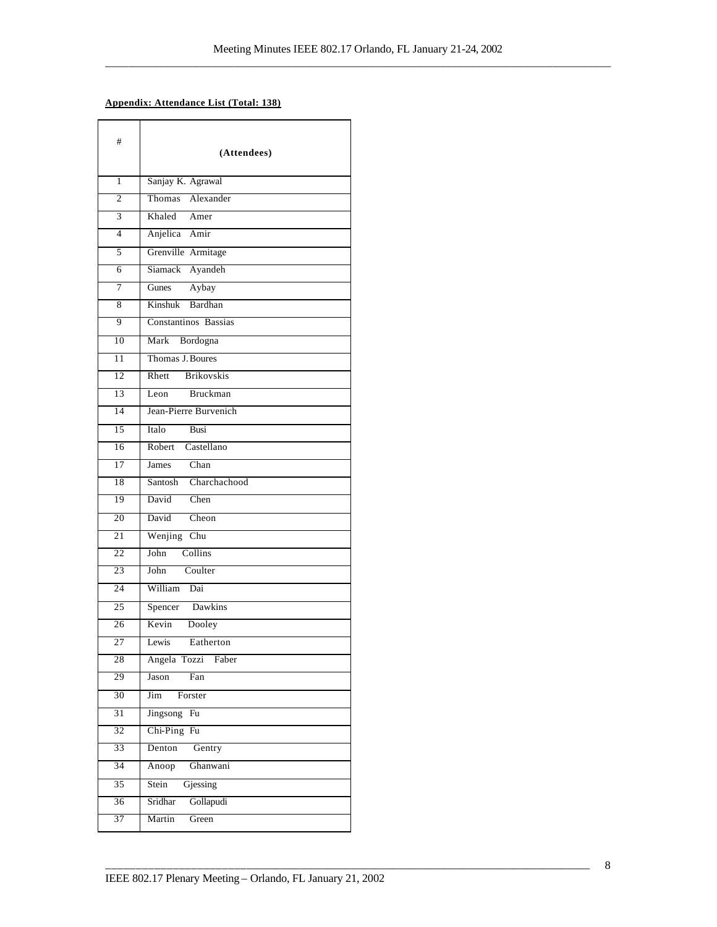### **Appendix: Attendance List (Total: 138)**

| #               | (Attendees)                               |
|-----------------|-------------------------------------------|
| $\mathbf{1}$    | Sanjay K. Agrawal                         |
| $\overline{2}$  | Thomas Alexander                          |
| $\overline{3}$  | Khaled Amer                               |
| $\overline{4}$  | Anjelica Amir                             |
| 5               | Grenville Armitage                        |
| 6               | Siamack Ayandeh                           |
| 7               | Gunes Aybay                               |
| 8               | Kinshuk Bardhan                           |
| 9               | Constantinos Bassias                      |
| 10              | Mark Bordogna                             |
| $\overline{11}$ | Thomas J. Boures                          |
| 12              | <b>Brikovskis</b><br>$R$ hett             |
| 13              | Bruckman<br>$L$ eon                       |
| 14              | Jean-Pierre Burvenich                     |
| 15              |                                           |
| $\overline{16}$ | Italo<br><b>Busi</b><br>Robert Castellano |
| 17              | Chan                                      |
| 18              | James<br>Santosh Charchachood             |
|                 |                                           |
| 19              | David<br>Chen                             |
| 20              | David<br>Cheon                            |
| 21              | Wenjing Chu                               |
| 22              | Collins<br>John                           |
| 23              | Coulter<br>John                           |
| 24              | William<br>Dai                            |
| 25              | Spencer Dawkins                           |
| 26              | Kevin<br>Dooley                           |
| $\overline{27}$ | Eatherton<br>Lewis                        |
| 28              | Angela Tozzi Faber                        |
| 29              | Fan<br>Jason                              |
| 30              | Forster<br>Jim                            |
| $\overline{31}$ | Jingsong<br>Fu                            |
| $\overline{32}$ | Chi-Ping Fu                               |
| 33              | Denton<br>Gentry                          |
| 34              | Anoop<br>Ghanwani                         |
| $\overline{35}$ | Stein<br>Gjessing                         |
| $\overline{36}$ | Sridhar<br>Gollapudi                      |
| $\overline{37}$ | Martin<br>Green                           |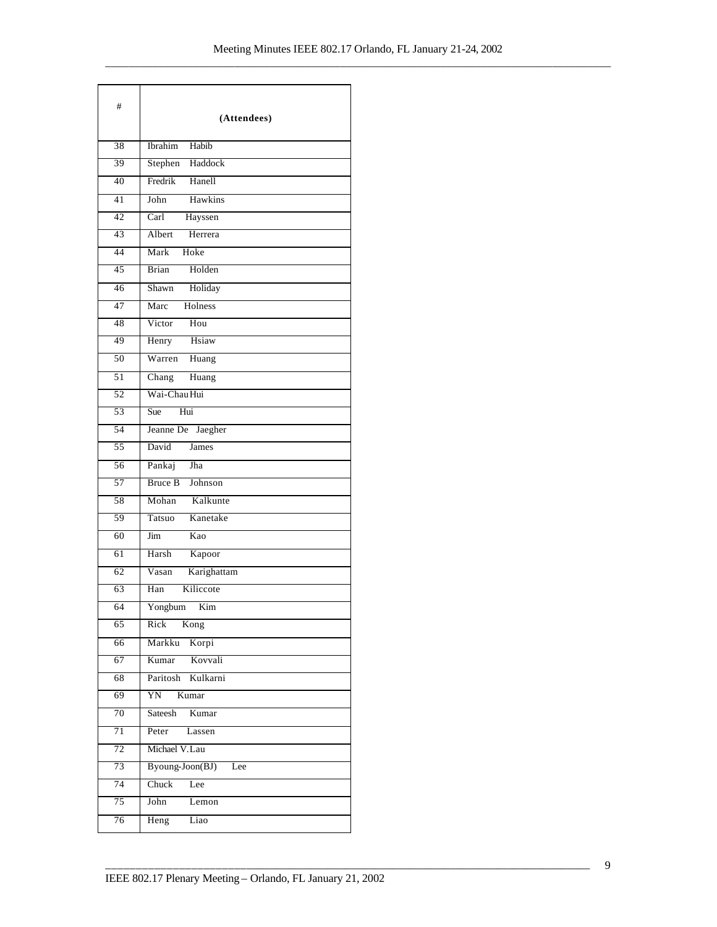| #               |                                     |
|-----------------|-------------------------------------|
|                 | (Attendees)                         |
| 38              | Ibrahim<br>Habib                    |
| 39              | Haddock<br>Stephen                  |
| 40              | Fredrik Hanell                      |
| 41              | Hawkins<br>John                     |
| 42              | $\overline{\text{Carl}}$<br>Hayssen |
| 43              | Herrera<br>Albert                   |
| 44              | Mark<br>Hoke                        |
| 45              | Brian<br>Holden                     |
| 46              | Holiday<br>Shawn                    |
| 47              | Marc Holness                        |
| 48              | Hou<br>Victor                       |
| 49              | Henry Hsiaw                         |
| 50              | Warren<br>Huang                     |
| $\overline{51}$ | Chang<br>Huang                      |
| 52              | Wai-Chau Hui                        |
| 53              | Sue<br>Hui                          |
| 54              | Jeanne De Jaegher                   |
| 55              | James<br>David                      |
| 56              | Pankaj<br>Jha                       |
| 57              | Bruce B Johnson                     |
| 58              | Mohan Kalkunte                      |
| 59              | Tatsuo Kanetake                     |
| 60              | Kao<br>Jim                          |
| 61              | Kapoor<br>Harsh                     |
| 62              | Karighattam<br>Vasan                |
| 63              | Kiliccote<br>Han                    |
| 64              | Yongbum Kim                         |
| 65              | Kong<br>Rick                        |
| 66              | Korpi<br>Markku                     |
| 67              | Kovvali<br>Kumar                    |
| 68              | Paritosh<br>Kulkarni                |
| 69              | YN<br>Kumar                         |
| 70              | Sateesh<br>Kumar                    |
| 71              | Peter<br>Lassen                     |
| 72              | Michael V.Lau                       |
| 73              | Byoung-Joon(BJ)<br>Lee              |
| 74              | Chuck<br>Lee                        |
| $\overline{75}$ | John<br>Lemon                       |
| 76              | Heng<br>Liao                        |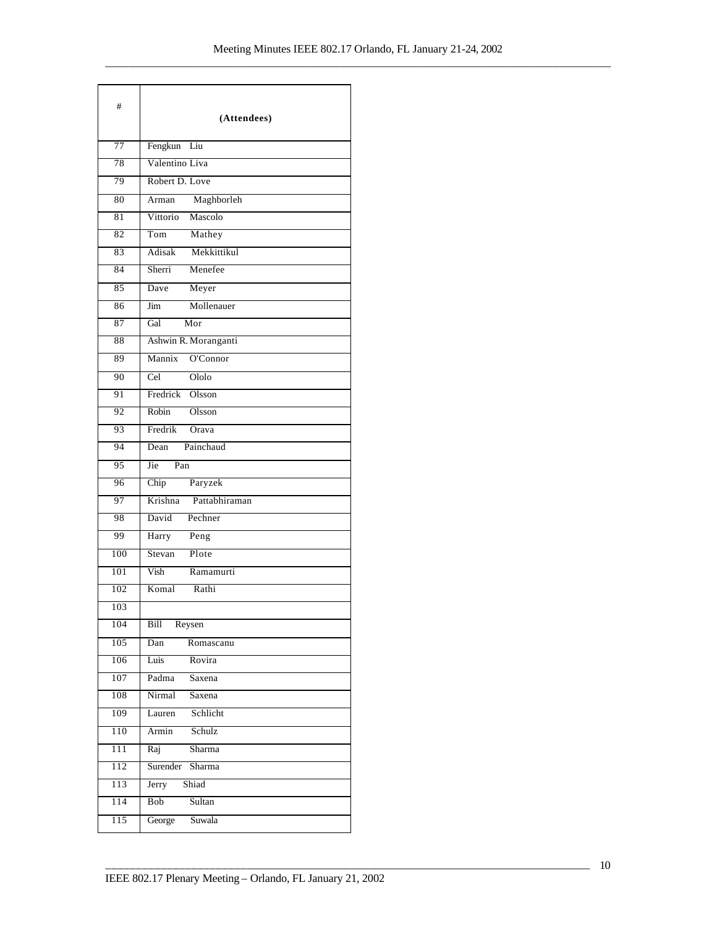| #   | (Attendees)                       |
|-----|-----------------------------------|
| 77  | Fengkun Liu                       |
| 78  | Valentino Liva                    |
| 79  | Robert D. Love                    |
| 80  | Maghborleh<br>$\overline{A}$ rman |
| 81  | Mascolo<br>Vittorio               |
| 82  | Tom<br>Mathey                     |
| 83  | Mekkittikul<br>Adisak             |
| 84  | Menefee<br>Sherri                 |
| 85  | Dave<br>Meyer                     |
| 86  | Mollenauer<br>Jim                 |
| 87  | Gal<br>Mor                        |
| 88  | Ashwin R. Moranganti              |
| 89  | O'Connor<br>Mannix                |
| 90  | Cel<br>Ololo                      |
| 91  | Fredrick Olsson                   |
| 92  | Robin<br>Olsson                   |
| 93  | Fredrik<br>Orava                  |
| 94  | Dean Painchaud                    |
| 95  | Jie<br>Pan                        |
| 96  | Paryzek<br>Chip                   |
| 97  | Pattabhiraman<br>Krishna          |
| 98  | David<br>Pechner                  |
| 99  | Harry<br>Peng                     |
| 100 | Stevan<br>Plote                   |
| 101 | Vish<br>Ramamurti                 |
| 102 | Komal<br>Rathi                    |
| 103 |                                   |
| 104 | Reysen<br>Bill                    |
| 105 | Dan<br>Romascanu                  |
| 106 | Rovira<br>Luis                    |
| 107 | Padma Saxena                      |
| 108 | Nirmal<br>Saxena                  |
| 109 | Schlicht<br>Lauren                |
| 110 | Schulz<br>Armin                   |
| 111 | Sharma<br>Raj                     |
| 112 | Surender Sharma                   |
| 113 | Shiad<br>Jerry                    |
| 114 | Bob<br>Sultan                     |
| 115 | Suwala<br>George                  |